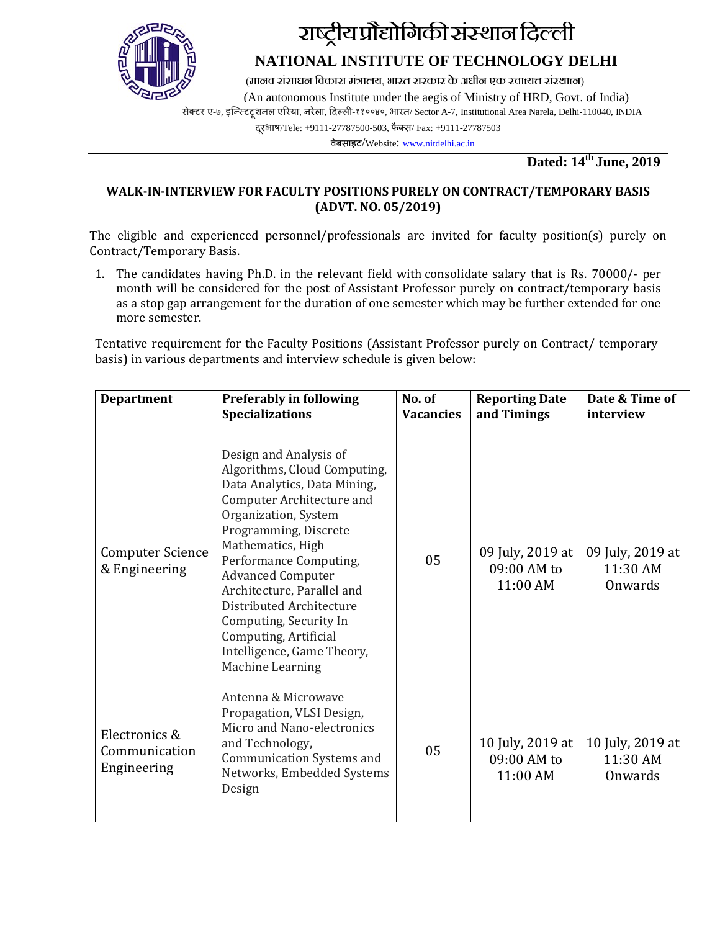

# राष्ट्रीय प्रौद्योगिकी संस्थान दिल्ली

# **NATIONAL INSTITUTE OF TECHNOLOGY DELHI**

(मानव संसाधन विकास मंत्रालय, भारत सरकार के अधीन एक स्वाध्यत्त संस्थात्न)<br>(An autonomous Institute under the aegis of Ministry of HRD, Govt. of India)

सेक्टर ए-७, इन्स्टिटशनल एरिया, नरेला, दिल्ली-११००४०, भारत/ Sector A-7, Institutional Area Narela, Delhi-110040, INDIA

दूरभाष/Tele: +9111-27787500-503, फैक्स/ Fax: +9111-27787503

वेबसाइट/Website[: www.nitdelhi.ac.in](http://www.nitdelhi.ac.in/)

**Dated: 14th June, 2019** 

### **WALK-IN-INTERVIEW FOR FACULTY POSITIONS PURELY ON CONTRACT/TEMPORARY BASIS (ADVT. NO. 05/2019)**

The eligible and experienced personnel/professionals are invited for faculty position(s) purely on Contract/Temporary Basis.

1. The candidates having Ph.D. in the relevant field with consolidate salary that is Rs. 70000/- per month will be considered for the post of Assistant Professor purely on contract/temporary basis as a stop gap arrangement for the duration of one semester which may be further extended for one more semester.

Tentative requirement for the Faculty Positions (Assistant Professor purely on Contract/ temporary basis) in various departments and interview schedule is given below:

| <b>Preferably in following</b><br><b>Department</b><br><b>Specializations</b>                                                                                                                                                  |                                                                                                                                                                                                                                                                                                                                                                                                                | No. of<br><b>Vacancies</b> | <b>Reporting Date</b><br>and Timings        | Date & Time of<br>interview             |
|--------------------------------------------------------------------------------------------------------------------------------------------------------------------------------------------------------------------------------|----------------------------------------------------------------------------------------------------------------------------------------------------------------------------------------------------------------------------------------------------------------------------------------------------------------------------------------------------------------------------------------------------------------|----------------------------|---------------------------------------------|-----------------------------------------|
| <b>Computer Science</b><br>& Engineering                                                                                                                                                                                       | Design and Analysis of<br>Algorithms, Cloud Computing,<br>Data Analytics, Data Mining,<br>Computer Architecture and<br>Organization, System<br>Programming, Discrete<br>Mathematics, High<br>Performance Computing,<br><b>Advanced Computer</b><br>Architecture, Parallel and<br>Distributed Architecture<br>Computing, Security In<br>Computing, Artificial<br>Intelligence, Game Theory,<br>Machine Learning | 05                         | 09 July, 2019 at<br>09:00 AM to<br>11:00 AM | 09 July, 2019 at<br>11:30 AM<br>Onwards |
| Antenna & Microwave<br>Propagation, VLSI Design,<br>Micro and Nano-electronics<br>Electronics &<br>and Technology,<br>Communication<br><b>Communication Systems and</b><br>Engineering<br>Networks, Embedded Systems<br>Design |                                                                                                                                                                                                                                                                                                                                                                                                                | 05                         | 10 July, 2019 at<br>09:00 AM to<br>11:00 AM | 10 July, 2019 at<br>11:30 AM<br>Onwards |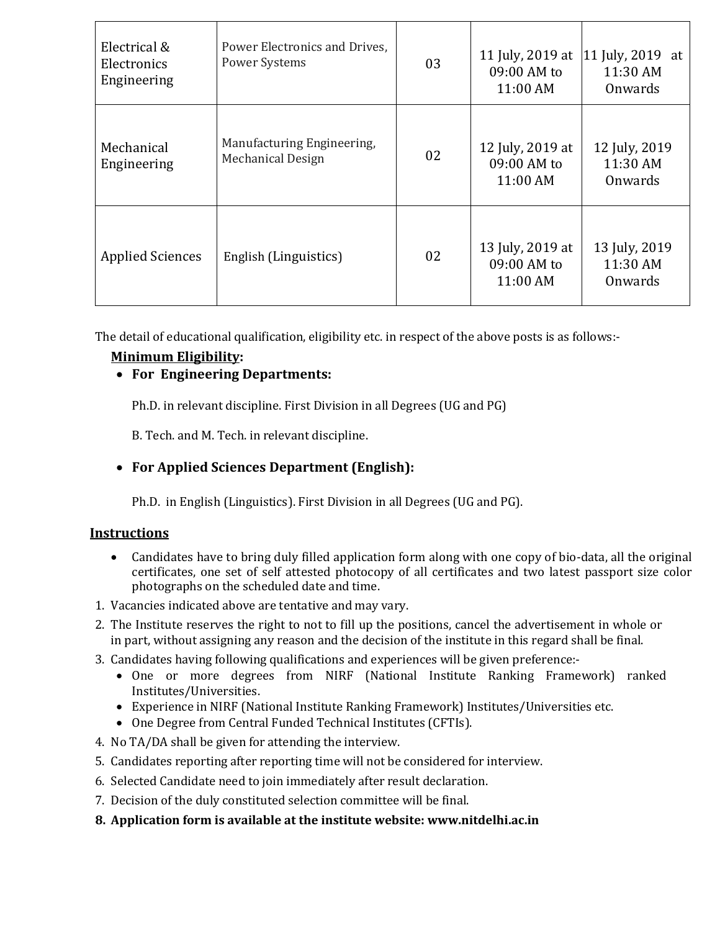| Electrical &<br>Electronics<br>Engineering       | Power Electronics and Drives.<br>Power Systems         | 03 | 11 July, 2019 at<br>09:00 AM to<br>11:00 AM | $ 11$ July, 2019 at<br>11:30 AM<br>Onwards |
|--------------------------------------------------|--------------------------------------------------------|----|---------------------------------------------|--------------------------------------------|
| Mechanical<br>Engineering                        | Manufacturing Engineering,<br><b>Mechanical Design</b> | 02 | 12 July, 2019 at<br>09:00 AM to<br>11:00 AM | 12 July, 2019<br>11:30 AM<br>Onwards       |
| <b>Applied Sciences</b><br>English (Linguistics) |                                                        | 02 | 13 July, 2019 at<br>09:00 AM to<br>11:00 AM | 13 July, 2019<br>11:30 AM<br>Onwards       |

The detail of educational qualification, eligibility etc. in respect of the above posts is as follows:-

### **Minimum Eligibility :**

### • **For Engineering Departments:**

Ph.D. in relevant discipline. First Division in all Degrees (UG and PG)

B. Tech. and M. Tech. in relevant discipline.

## • **For Applied Sciences Department (English):**

Ph.D. in English (Linguistics). First Division in all Degrees (UG and PG).

### **Instructions**

- Candidates have to bring duly filled application form along with one copy of bio-data, all the original certificates, one set of self attested photocopy of all certificates and two latest passport size color photographs on the scheduled date and time.
- 1. Vacancies indicated above are tentative and may vary.
- 2. The Institute reserves the right to not to fill up the positions, cancel the advertisement in whole or in part, without assigning any reason and the decision of the institute in this regard shall be final.
- 3. Candidates having following qualifications and experiences will be given preference:-
	- One or more degrees from NIRF (National Institute Ranking Framework) ranked Institutes/Universities.
	- Experience in NIRF (National Institute Ranking Framework) Institutes/Universities etc.
	- One Degree from Central Funded Technical Institutes (CFTIs).
- 4. No TA/DA shall be given for attending the interview.
- 5. Candidates reporting after reporting time will not be considered for interview.
- 6. Selected Candidate need to join immediately after result declaration.
- 7. Decision of the duly constituted selection committee will be final.
- **8. Application form is available at the institute website: www.nitdelhi.ac.in**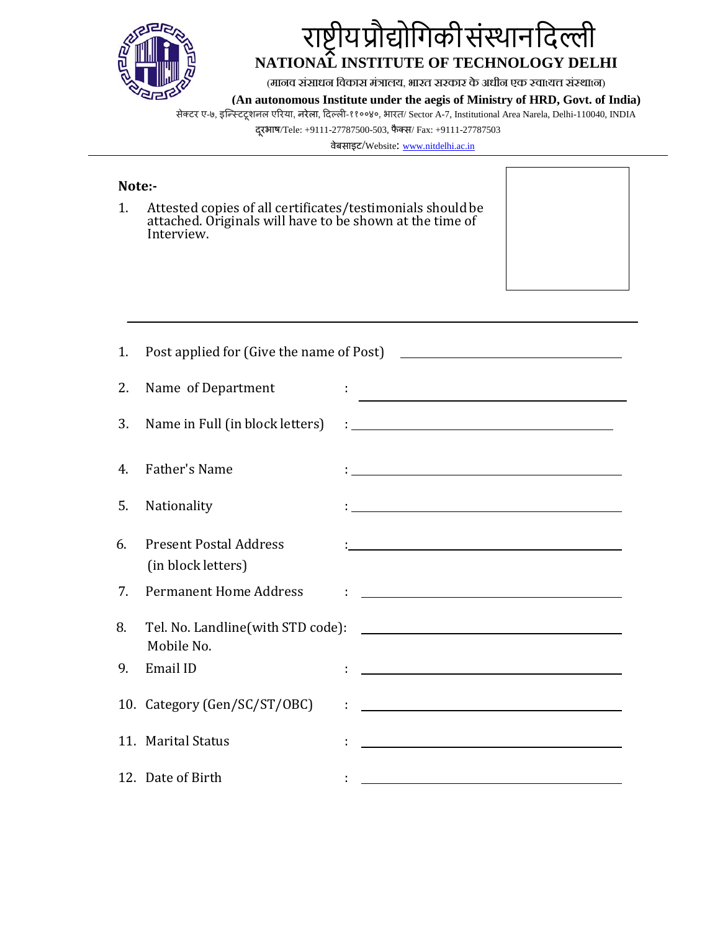

# राष्ट्रीयप्रोद्योगिकीसंस्थानदिल्ली **NATIONAL INSTITUTE OF TECHNOLOGY DELHI**

 $\Gamma$ 

٦

(मानव संसाधन िवकास मंत्रा, भारत सरकार के अधीन एक स्वtय� संस्थtन) **(An autonomous Institute under the aegis of Ministry of HRD, Govt. of India)**

सेक्टर ए-७, इन्स्टिटूशनल एरिया, नरेला, दिल्ली-११००४०, भारत/ Sector A-7, Institutional Area Narela, Delhi-110040, INDIA

दूरभाष/Tele: +9111-27787500-503, फैक्स/ Fax: +9111-27787503

वेबसाइट/Website[: www.nitdelhi.ac.in](http://www.nitdelhi.ac.in/)

| Note:- |                                                                                                                                      |                                                                                                                        |
|--------|--------------------------------------------------------------------------------------------------------------------------------------|------------------------------------------------------------------------------------------------------------------------|
| 1.     | Attested copies of all certificates/testimonials should be<br>attached. Originals will have to be shown at the time of<br>Interview. |                                                                                                                        |
|        |                                                                                                                                      |                                                                                                                        |
| 1.     |                                                                                                                                      |                                                                                                                        |
| 2.     | Name of Department                                                                                                                   | <u> 1986 - Johann Stein, fransk politik (d. 1986)</u>                                                                  |
| 3.     | Name in Full (in block letters)                                                                                                      | <u> : Andreas Andreas Andreas Andreas Andreas Andreas Andreas Andreas Andreas Andreas Andreas Andreas Andreas Andr</u> |
| 4.     | <b>Father's Name</b>                                                                                                                 |                                                                                                                        |
| 5.     | Nationality                                                                                                                          | <u> 1989 - Johann Barbara, martxa amerikan personal (h. 1989).</u>                                                     |
| 6.     | <b>Present Postal Address</b><br>(in block letters)                                                                                  |                                                                                                                        |
| 7.     | <b>Permanent Home Address</b>                                                                                                        |                                                                                                                        |
| 8.     | Tel. No. Landline(with STD code):<br>Mobile No.                                                                                      | <u> 1989 - Johann Stone, mars et al. (</u>                                                                             |
| 9.     | Email ID                                                                                                                             |                                                                                                                        |
|        | 10. Category (Gen/SC/ST/OBC)                                                                                                         | <u> 1989 - Johann John Stein, markin fan it ferskearre fan it ferskearre fan it ferskearre fan it ferskearre fan</u>   |
|        | 11. Marital Status                                                                                                                   |                                                                                                                        |
|        | 12. Date of Birth                                                                                                                    |                                                                                                                        |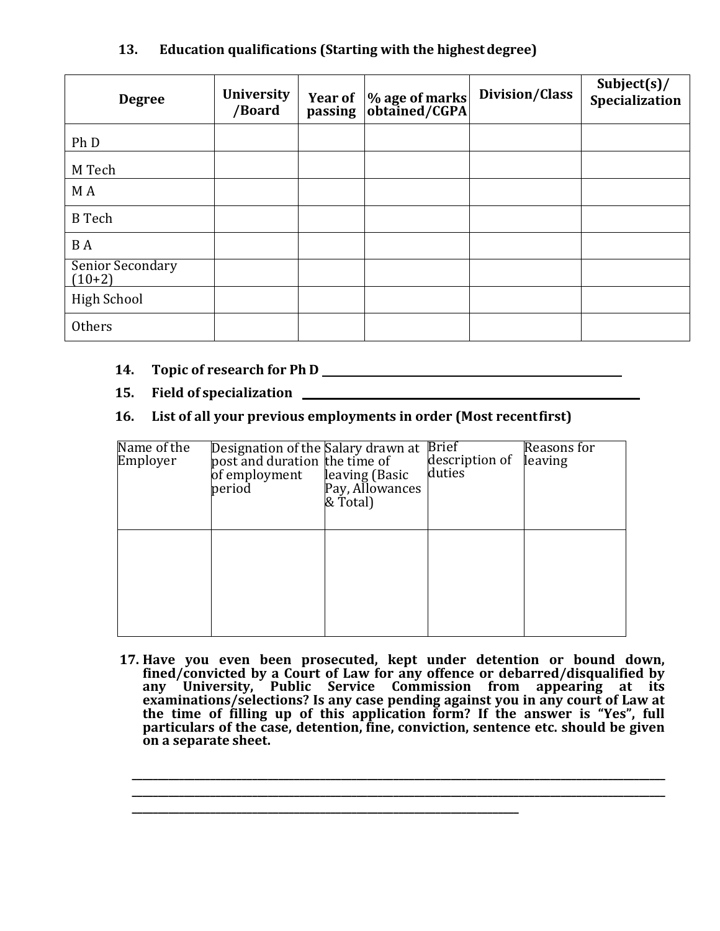### **13. Education qualifications (Starting with the highestdegree)**

| <b>Degree</b>                | <b>University</b><br>/Board | Year of  % age of marks<br>passing  obtained/CGPA | Division/Class | Subject $(s)$ /<br>Specialization |
|------------------------------|-----------------------------|---------------------------------------------------|----------------|-----------------------------------|
| Ph D                         |                             |                                                   |                |                                   |
| M Tech                       |                             |                                                   |                |                                   |
| M A                          |                             |                                                   |                |                                   |
| <b>B</b> Tech                |                             |                                                   |                |                                   |
| B A                          |                             |                                                   |                |                                   |
| Senior Secondary<br>$(10+2)$ |                             |                                                   |                |                                   |
| <b>High School</b>           |                             |                                                   |                |                                   |
| <b>Others</b>                |                             |                                                   |                |                                   |

### **14. Topic of research for Ph D**

### **15. Field of specialization**

### **16. List of all your previous employments in order (Most recentfirst)**

| Name of the<br>Employer | Designation of the Salary drawn at<br>post and duration the time of<br>of employment<br>period | leaving (Basic<br>Pay, Allowances<br>& Total) | <b>Brief</b><br>description of<br>duties | Reasons for<br>leaving |
|-------------------------|------------------------------------------------------------------------------------------------|-----------------------------------------------|------------------------------------------|------------------------|
|                         |                                                                                                |                                               |                                          |                        |

**17. Have you even been prosecuted, kept under detention or bound down, fined/convicted by a Court of Law for any offence or debarred/disqualified by any University, Public Service Commission from appearing at its examinations/selections? Is any case pending against you in any court of Law at the time of filling up of this application form? If the answer is "Yes", full particulars of the case, detention, fine, conviction, sentence etc. should be given on a separate sheet.**

**\_\_\_\_\_\_\_\_\_\_\_\_\_\_\_\_\_\_\_\_\_\_\_\_\_\_\_\_\_\_\_\_\_\_\_\_\_\_\_\_\_\_\_\_\_\_\_\_\_\_\_\_\_\_\_\_\_\_\_\_\_\_\_\_\_\_\_\_\_\_\_\_\_\_\_\_\_\_\_\_\_\_\_\_\_\_\_\_\_\_\_\_\_\_\_\_\_\_\_\_\_\_ \_\_\_\_\_\_\_\_\_\_\_\_\_\_\_\_\_\_\_\_\_\_\_\_\_\_\_\_\_\_\_\_\_\_\_\_\_\_\_\_\_\_\_\_\_\_\_\_\_\_\_\_\_\_\_\_\_\_\_\_\_\_\_\_\_\_\_\_\_\_\_\_\_\_\_\_\_\_\_\_\_\_\_\_\_\_\_\_\_\_\_\_\_\_\_\_\_\_\_\_\_\_**

**\_\_\_\_\_\_\_\_\_\_\_\_\_\_\_\_\_\_\_\_\_\_\_\_\_\_\_\_\_\_\_\_\_\_\_\_\_\_\_\_\_\_\_\_\_\_\_\_\_\_\_\_\_\_\_\_\_\_\_\_\_\_\_\_\_\_\_\_\_\_\_\_\_\_**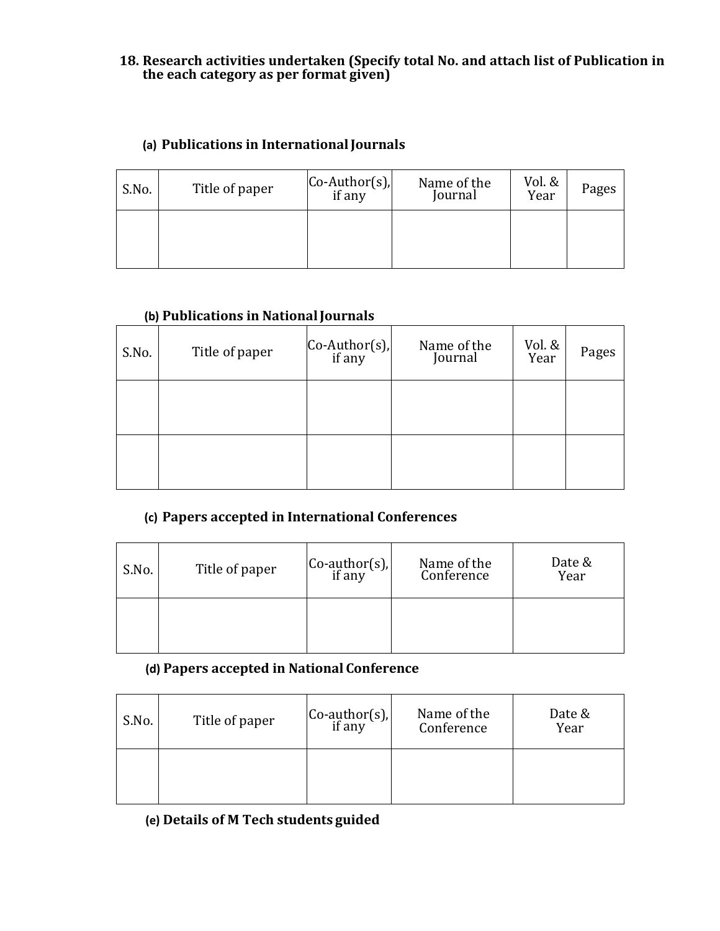### **18. Research activities undertaken (Specify total No. and attach list of Publication in the each category as per format given)**

### **(a) Publications in InternationalJournals**

| S.No. | Title of paper | $ Co-Author(s) $<br>if any | Name of the<br>Journal | Vol. &<br>Year | Pages |
|-------|----------------|----------------------------|------------------------|----------------|-------|
|       |                |                            |                        |                |       |

### **(b) Publications in NationalJournals**

| S.No. | Title of paper | $\left[\n \begin{array}{c}\n \text{Co-Author(s)} \\ \text{if any}\n \end{array}\n \right]$ | Name of the<br>Journal | Vol. &<br>Year | Pages |
|-------|----------------|--------------------------------------------------------------------------------------------|------------------------|----------------|-------|
|       |                |                                                                                            |                        |                |       |
|       |                |                                                                                            |                        |                |       |

### **(c) Papers accepted in International Conferences**

| S.No. | Title of paper | $\begin{bmatrix} \text{Co-author(s)}, \\ \text{if any} \end{bmatrix}$ | Name of the<br>Conference | Date &<br>Year |
|-------|----------------|-----------------------------------------------------------------------|---------------------------|----------------|
|       |                |                                                                       |                           |                |

# **(d) Papers accepted in National Conference**

| S.No. | Title of paper | $\begin{vmatrix} \text{Co-author(s)} \\ \text{if any} \end{vmatrix}$ | Name of the<br>Conference | Date &<br>Year |
|-------|----------------|----------------------------------------------------------------------|---------------------------|----------------|
|       |                |                                                                      |                           |                |

### **(e) Details of M Tech students guided**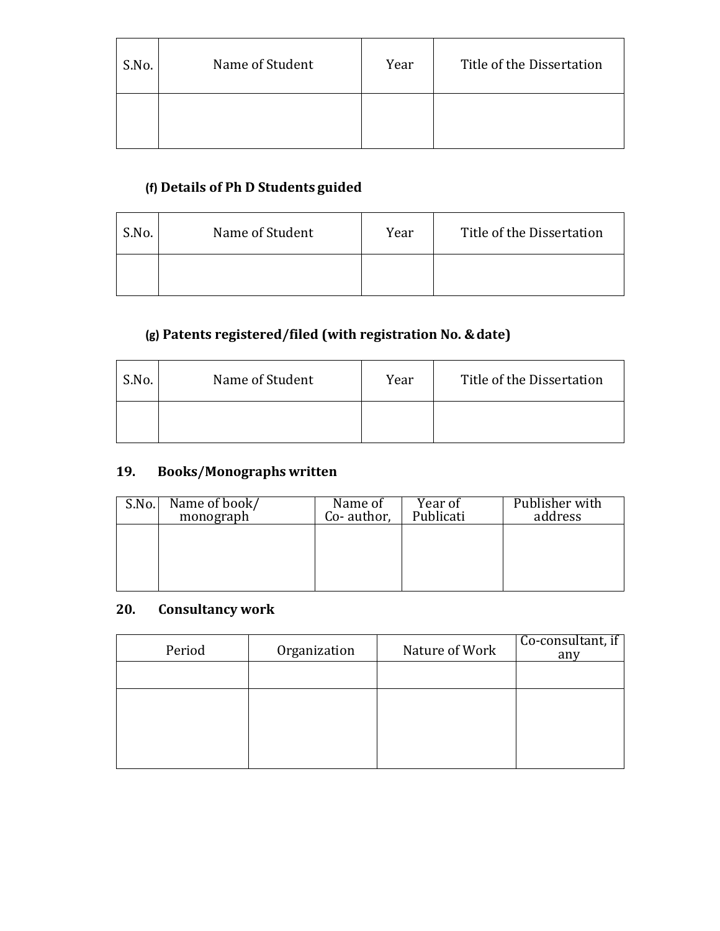| S.No. | Name of Student | Year | Title of the Dissertation |
|-------|-----------------|------|---------------------------|
|       |                 |      |                           |

# **(f) Details of Ph D Students guided**

| S.No. | Name of Student | Year | Title of the Dissertation |
|-------|-----------------|------|---------------------------|
|       |                 |      |                           |

## **(g) Patents registered/filed (with registration No. &date)**

| S.No. | Name of Student | Year | Title of the Dissertation |
|-------|-----------------|------|---------------------------|
|       |                 |      |                           |

### **19. Books/Monographs written**

| S.No. | Name of book/<br>monograph | Name of<br>Co-author, | Year of<br>Publicati | Publisher with<br>address |
|-------|----------------------------|-----------------------|----------------------|---------------------------|
|       |                            |                       |                      |                           |
|       |                            |                       |                      |                           |
|       |                            |                       |                      |                           |

### **20. Consultancy work**

| Period | Organization | Nature of Work | Co-consultant, if<br>any |
|--------|--------------|----------------|--------------------------|
|        |              |                |                          |
|        |              |                |                          |
|        |              |                |                          |
|        |              |                |                          |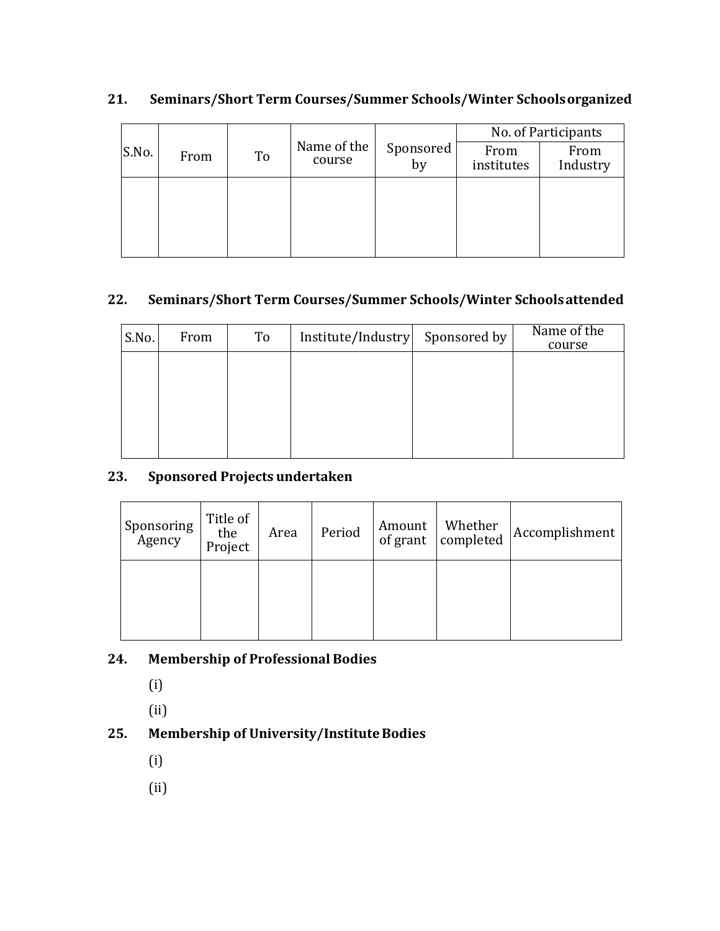|       |      |    |                       |                 |                    | No. of Participants |
|-------|------|----|-----------------------|-----------------|--------------------|---------------------|
| S.No. | From | To | Name of the<br>course | Sponsored<br>by | From<br>institutes | From<br>Industry    |
|       |      |    |                       |                 |                    |                     |
|       |      |    |                       |                 |                    |                     |
|       |      |    |                       |                 |                    |                     |
|       |      |    |                       |                 |                    |                     |

## **21. Seminars/Short Term Courses/Summer Schools/Winter Schoolsorganized**

### **22. Seminars/Short Term Courses/Summer Schools/Winter Schoolsattended**

| S.No. | From | To | Institute/Industry Sponsored by | Name of the<br>course |
|-------|------|----|---------------------------------|-----------------------|
|       |      |    |                                 |                       |
|       |      |    |                                 |                       |
|       |      |    |                                 |                       |
|       |      |    |                                 |                       |

### **23. Sponsored Projects undertaken**

| Sponsoring<br>Agency | Title of<br>the<br>Project | Area | Period | Amount<br>of grant | Whether<br>completed | Accomplishment |
|----------------------|----------------------------|------|--------|--------------------|----------------------|----------------|
|                      |                            |      |        |                    |                      |                |

## **24. Membership of Professional Bodies**

(i)

(ii)

# **25. Membership of University/InstituteBodies**

- (i)
- (ii)